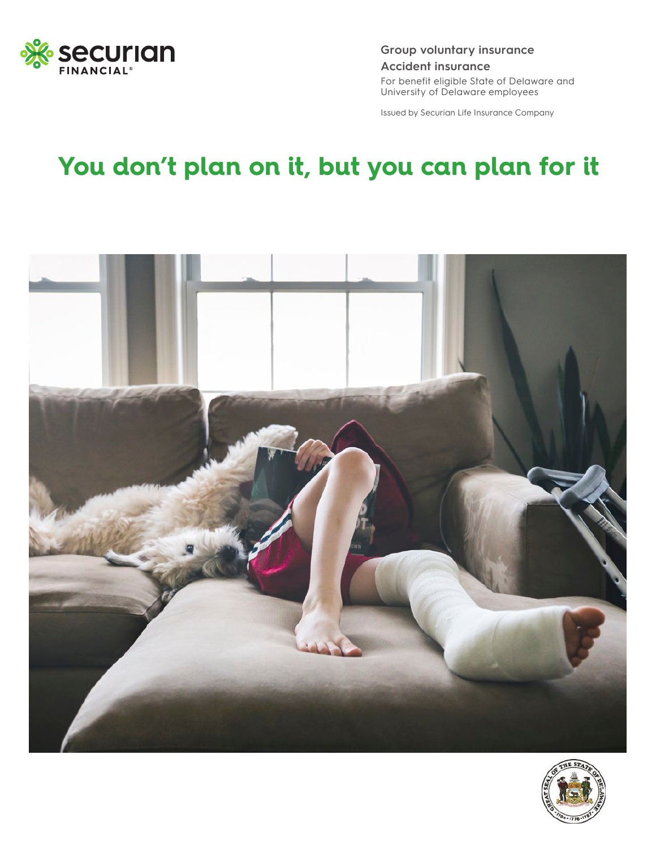

**Group voluntary insurance Accident insurance** For benefit eligible State of Delaware and University of Delaware employees

Issued by Securian Life Insurance Company

## **You don't plan on it, but you can plan for it**



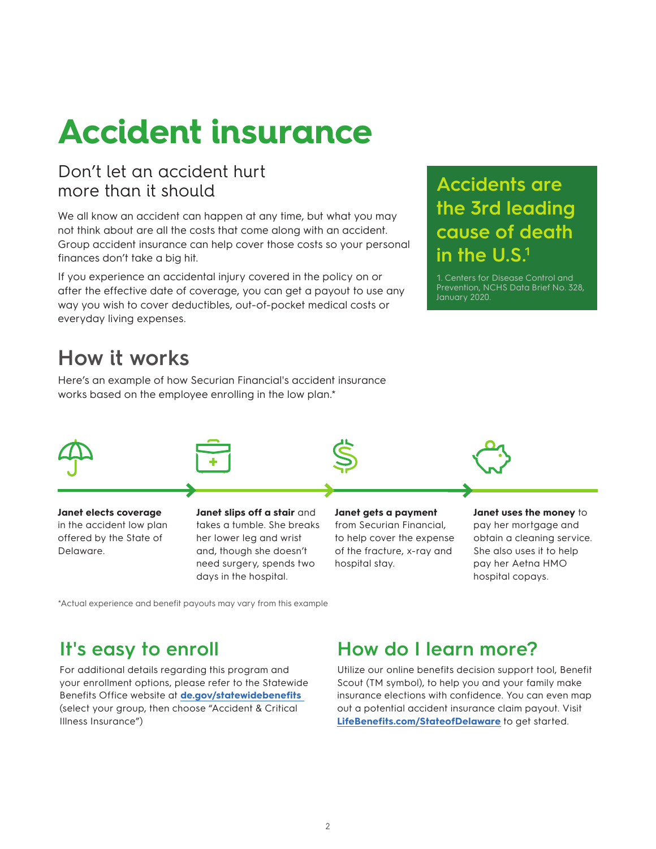# **Accident insurance**

### Don't let an accident hurt more than it should

We all know an accident can happen at any time, but what you may not think about are all the costs that come along with an accident. Group accident insurance can help cover those costs so your personal finances don't take a big hit.

If you experience an accidental injury covered in the policy on or after the effective date of coverage, you can get a payout to use any way you wish to cover deductibles, out-of-pocket medical costs or everyday living expenses.

### **Accidents are the 3rd leading cause of death in the U.S.<sup>1</sup>**

1. Centers for Disease Control and Prevention, NCHS Data Brief No. 328, January 2020.

### **How it works**

Here's an example of how Securian Financial's accident insurance works based on the employee enrolling in the low plan.\*



**Janet elects coverage** in the accident low plan offered by the State of Delaware.

**Janet slips off a stair** and takes a tumble. She breaks her lower leg and wrist and, though she doesn't need surgery, spends two days in the hospital.

**Janet gets a payment** from Securian Financial, to help cover the expense

of the fracture, x-ray and

hospital stay.

**Janet uses the money to** pay her mortgage and obtain a cleaning service. She also uses it to help pay her Aetna HMO hospital copays.

\*Actual experience and benefit payouts may vary from this example

### **It's easy to enroll**

For additional details regarding this program and your enrollment options, please refer to the Statewide Benefits Office website at **[de.gov/statewidebenefits](http://de.gov/statewidebenefits)** (select your group, then choose "Accident & Critical Illness Insurance")

### **How do I learn more?**

Utilize our online benefits decision support tool, Benefit Scout (TM symbol), to help you and your family make insurance elections with confidence. You can even map out a potential accident insurance claim payout. Visit **[LifeBenefits.com/StateofDelaware](http://LifeBenefits.com/StateofDelaware)** to get started.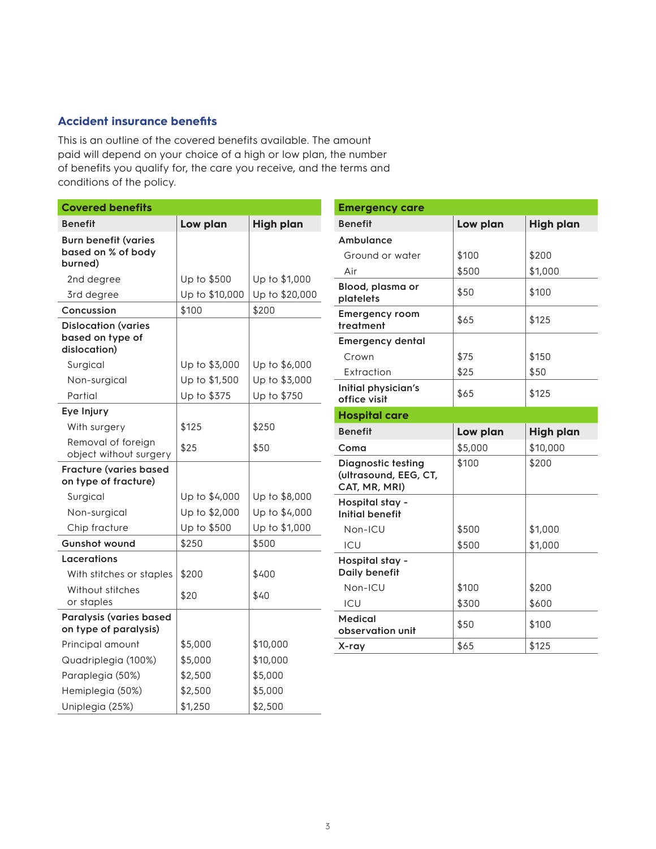#### **Accident insurance benefits**

This is an outline of the covered benefits available. The amount paid will depend on your choice of a high or low plan, the number of benefits you qualify for, the care you receive, and the terms and conditions of the policy.

| <b>Covered benefits</b>                                        |                |                  |
|----------------------------------------------------------------|----------------|------------------|
| <b>Benefit</b>                                                 | Low plan       | <b>High plan</b> |
| <b>Burn benefit (varies</b><br>based on % of body<br>burned)   |                |                  |
| 2nd degree                                                     | Up to \$500    | Up to \$1,000    |
| 3rd degree                                                     | Up to \$10,000 | Up to \$20,000   |
| Concussion                                                     | \$100          | \$200            |
| <b>Dislocation (varies</b><br>based on type of<br>dislocation) |                |                  |
| Surgical                                                       | Up to \$3,000  | Up to \$6,000    |
| Non-surgical                                                   | Up to \$1,500  | Up to \$3,000    |
| Partial                                                        | Up to \$375    | Up to \$750      |
| Eye Injury                                                     |                |                  |
| With surgery                                                   | \$125          | \$250            |
| Removal of foreign<br>object without surgery                   | \$25           | \$50             |
| <b>Fracture (varies based</b><br>on type of fracture)          |                |                  |
| Surgical                                                       | Up to \$4,000  | Up to \$8,000    |
| Non-surgical                                                   | Up to \$2,000  | Up to \$4,000    |
| Chip fracture                                                  | Up to \$500    | Up to \$1,000    |
| <b>Gunshot wound</b>                                           | \$250          | \$500            |
| Lacerations                                                    |                |                  |
| With stitches or staples                                       | \$200          | \$400            |
| Without stitches<br>or staples                                 | \$20           | \$40             |
| Paralysis (varies based<br>on type of paralysis)               |                |                  |
| Principal amount                                               | \$5,000        | \$10,000         |
| Quadriplegia (100%)                                            | \$5,000        | \$10,000         |
| Paraplegia (50%)                                               | \$2,500        | \$5,000          |
| Hemiplegia (50%)                                               | \$2,500        | \$5,000          |
| Uniplegia (25%)                                                | \$1,250        | \$2,500          |

| <b>Emergency care</b>                                               |          |                  |
|---------------------------------------------------------------------|----------|------------------|
| <b>Benefit</b>                                                      | Low plan | <b>High plan</b> |
| Ambulance                                                           |          |                  |
| Ground or water                                                     | \$100    | \$200            |
| Air                                                                 | \$500    | \$1,000          |
| Blood, plasma or<br>platelets                                       | \$50     | \$100            |
| <b>Emergency room</b><br>treatment                                  | \$65     | \$125            |
| <b>Emergency dental</b>                                             |          |                  |
| Crown                                                               | \$75     | \$150            |
| Extraction                                                          | \$25     | \$50             |
| Initial physician's<br>office visit                                 | \$65     | \$125            |
| <b>Hospital care</b>                                                |          |                  |
|                                                                     |          |                  |
| <b>Benefit</b>                                                      | Low plan | <b>High plan</b> |
| Coma                                                                | \$5,000  | \$10,000         |
| <b>Diagnostic testing</b><br>(ultrasound, EEG, CT,<br>CAT, MR, MRI) | \$100    | \$200            |
| Hospital stay -<br><b>Initial benefit</b>                           |          |                  |
| Non-ICU                                                             | \$500    | \$1,000          |
| ICU                                                                 | \$500    | \$1,000          |
| Hospital stay -<br>Daily benefit                                    |          |                  |
| Non-ICU                                                             | \$100    | \$200            |
| ICU                                                                 | \$300    | \$600            |
| <b>Medical</b><br>observation unit                                  | \$50     | \$100            |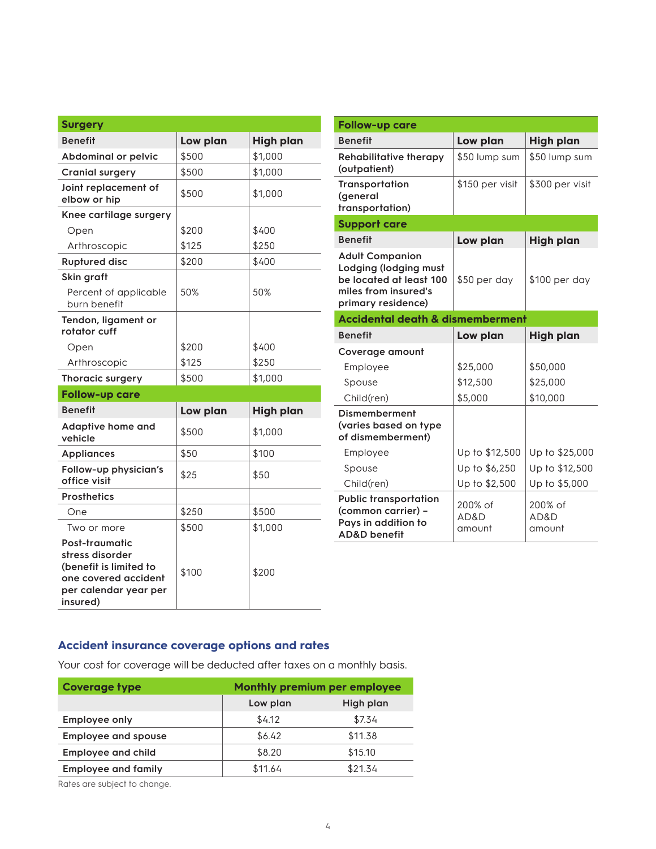| <b>Surgery</b>                                                                                                           |          |                  |
|--------------------------------------------------------------------------------------------------------------------------|----------|------------------|
| <b>Benefit</b>                                                                                                           | Low plan | <b>High plan</b> |
| <b>Abdominal or pelvic</b>                                                                                               | \$500    | \$1,000          |
| <b>Cranial surgery</b>                                                                                                   | \$500    | \$1,000          |
| Joint replacement of<br>elbow or hip                                                                                     | \$500    | \$1,000          |
| Knee cartilage surgery                                                                                                   |          |                  |
| Open                                                                                                                     | \$200    | \$400            |
| Arthroscopic                                                                                                             | \$125    | \$250            |
| <b>Ruptured disc</b>                                                                                                     | \$200    | \$400            |
| Skin graft                                                                                                               |          |                  |
| Percent of applicable<br>burn benefit                                                                                    | 50%      | 50%              |
| Tendon, ligament or<br>rotator cuff                                                                                      |          |                  |
| Open                                                                                                                     | \$200    | \$400            |
| Arthroscopic                                                                                                             | \$125    | \$250            |
| Thoracic surgery                                                                                                         | \$500    | \$1,000          |
| <b>Follow-up care</b>                                                                                                    |          |                  |
| <b>Benefit</b>                                                                                                           | Low plan | <b>High plan</b> |
| Adaptive home and<br>vehicle                                                                                             | \$500    | \$1,000          |
| <b>Appliances</b>                                                                                                        | \$50     | \$100            |
| Follow-up physician's<br>office visit                                                                                    | \$25     | \$50             |
| <b>Prosthetics</b>                                                                                                       |          |                  |
| One                                                                                                                      | \$250    | \$500            |
| Two or more                                                                                                              | \$500    | \$1,000          |
| Post-traumatic<br>stress disorder<br>(benefit is limited to<br>one covered accident<br>per calendar year per<br>insured) | \$100    | \$200            |

| <b>Follow-up care</b>                                                                                                    |                           |                           |
|--------------------------------------------------------------------------------------------------------------------------|---------------------------|---------------------------|
| <b>Benefit</b>                                                                                                           | Low plan                  | <b>High plan</b>          |
| <b>Rehabilitative therapy</b><br>(outpatient)                                                                            | \$50 lump sum             | \$50 lump sum             |
| Transportation<br>(general<br>transportation)                                                                            | \$150 per visit           | \$300 per visit           |
| <b>Support care</b>                                                                                                      |                           |                           |
| <b>Benefit</b>                                                                                                           | Low plan                  | <b>High plan</b>          |
| <b>Adult Companion</b><br>Lodging (lodging must<br>be located at least 100<br>miles from insured's<br>primary residence) | \$50 per day              | \$100 per day             |
| <b>Accidental death &amp; dismemberment</b>                                                                              |                           |                           |
| <b>Benefit</b>                                                                                                           | Low plan                  | <b>High plan</b>          |
| Coverage amount                                                                                                          |                           |                           |
| Employee                                                                                                                 | \$25,000                  | \$50,000                  |
| Spouse                                                                                                                   | \$12,500                  | \$25,000                  |
| Child(ren)                                                                                                               | \$5,000                   | \$10,000                  |
| <b>Dismemberment</b><br>(varies based on type<br>of dismemberment)                                                       |                           |                           |
| Employee                                                                                                                 | Up to \$12,500            | Up to \$25,000            |
| Spouse                                                                                                                   | Up to \$6,250             | Up to \$12,500            |
| Child(ren)                                                                                                               | Up to \$2,500             | Up to \$5,000             |
| <b>Public transportation</b><br>(common carrier) -<br>Pays in addition to<br><b>AD&amp;D</b> benefit                     | 200% of<br>AD&D<br>amount | 200% of<br>AD&D<br>amount |

#### **Accident insurance coverage options and rates**

Your cost for coverage will be deducted after taxes on a monthly basis.

| <b>Coverage type</b>       | <b>Monthly premium per employee</b> |           |
|----------------------------|-------------------------------------|-----------|
|                            | Low plan                            | High plan |
| <b>Employee only</b>       | \$4.12                              | \$7.34    |
| <b>Employee and spouse</b> | \$6.42                              | \$11.38   |
| <b>Employee and child</b>  | \$8.20                              | \$15.10   |
| <b>Employee and family</b> | \$11.64                             | \$21.34   |

Rates are subject to change.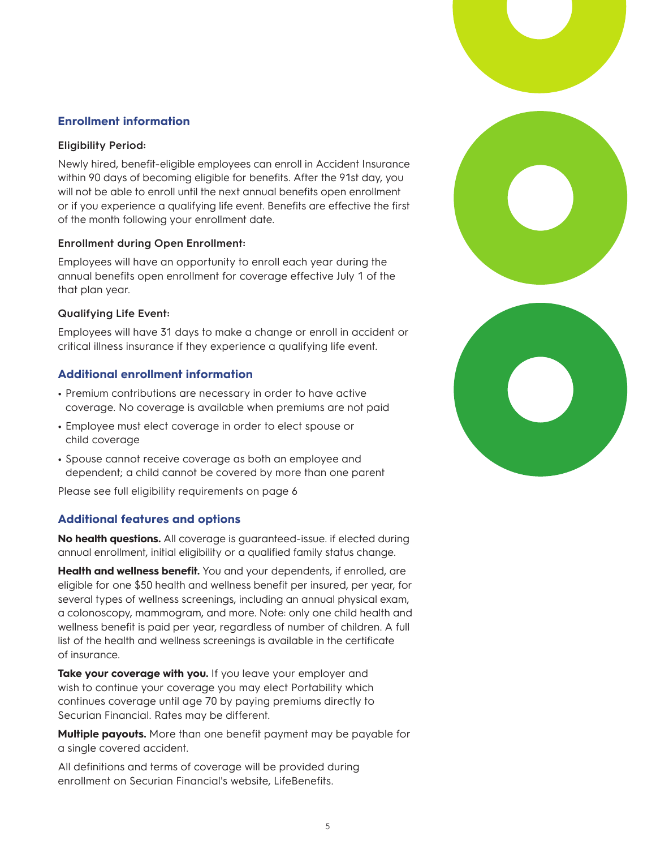#### **Enrollment information**

#### **Eligibility Period:**

Newly hired, benefit-eligible employees can enroll in Accident Insurance within 90 days of becoming eligible for benefits. After the 91st day, you will not be able to enroll until the next annual benefits open enrollment or if you experience a qualifying life event. Benefits are effective the first of the month following your enrollment date.

#### **Enrollment during Open Enrollment:**

Employees will have an opportunity to enroll each year during the annual benefits open enrollment for coverage effective July 1 of the that plan year.

#### **Qualifying Life Event:**

Employees will have 31 days to make a change or enroll in accident or critical illness insurance if they experience a qualifying life event.

#### **Additional enrollment information**

- **•** Premium contributions are necessary in order to have active coverage. No coverage is available when premiums are not paid
- **•** Employee must elect coverage in order to elect spouse or child coverage
- **•** Spouse cannot receive coverage as both an employee and dependent; a child cannot be covered by more than one parent

Please see full eligibility requirements on page 6

#### **Additional features and options**

**No health questions.** All coverage is guaranteed-issue. if elected during annual enrollment, initial eligibility or a qualified family status change.

**Health and wellness benefit.** You and your dependents, if enrolled, are eligible for one \$50 health and wellness benefit per insured, per year, for several types of wellness screenings, including an annual physical exam, a colonoscopy, mammogram, and more. Note: only one child health and wellness benefit is paid per year, regardless of number of children. A full list of the health and wellness screenings is available in the certificate of insurance.

Take your coverage with you. If you leave your employer and wish to continue your coverage you may elect Portability which continues coverage until age 70 by paying premiums directly to Securian Financial. Rates may be different.

**Multiple payouts.** More than one benefit payment may be payable for a single covered accident.

All definitions and terms of coverage will be provided during enrollment on Securian Financial's website, LifeBenefits.

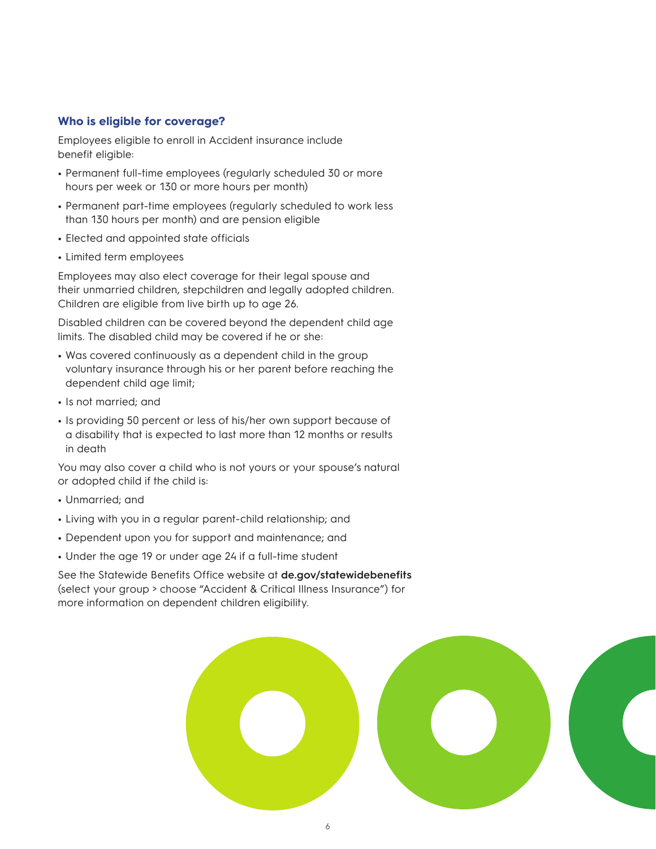#### **Who is eligible for coverage?**

Employees eligible to enroll in Accident insurance include benefit eligible:

- **•** Permanent full-time employees (regularly scheduled 30 or more hours per week or 130 or more hours per month)
- **•** Permanent part-time employees (regularly scheduled to work less than 130 hours per month) and are pension eligible
- **•** Elected and appointed state officials
- **•** Limited term employees

Employees may also elect coverage for their legal spouse and their unmarried children, stepchildren and legally adopted children. Children are eligible from live birth up to age 26.

Disabled children can be covered beyond the dependent child age limits. The disabled child may be covered if he or she:

- **•** Was covered continuously as a dependent child in the group voluntary insurance through his or her parent before reaching the dependent child age limit;
- **•** Is not married; and
- **•** Is providing 50 percent or less of his/her own support because of a disability that is expected to last more than 12 months or results in death

You may also cover a child who is not yours or your spouse's natural or adopted child if the child is:

- **•** Unmarried; and
- **•** Living with you in a regular parent-child relationship; and
- **•** Dependent upon you for support and maintenance; and
- **•** Under the age 19 or under age 24 if a full-time student

See the Statewide Benefits Office website at **de.gov/statewidebenefits** (select your group > choose "Accident & Critical Illness Insurance") for more information on dependent children eligibility.